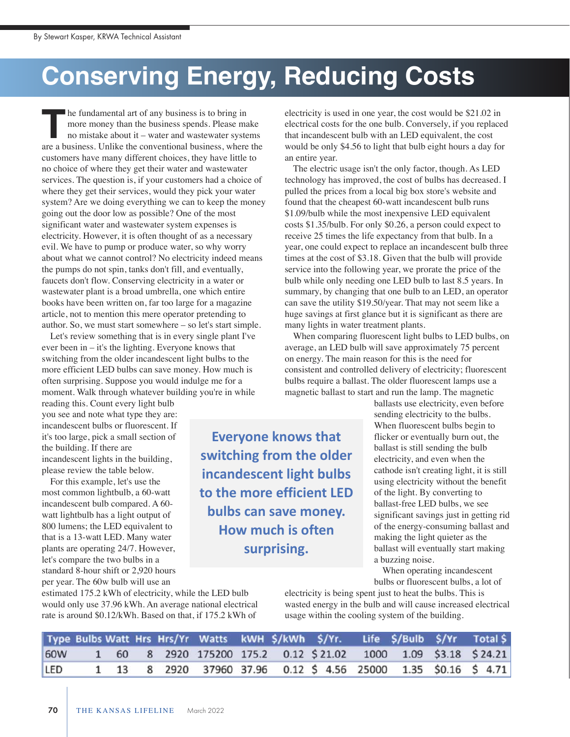## **Conserving Energy, Reducing Costs**

he fundamental art of any business is to bring in more money than the business spends. Please make no mistake about it – water and wastewater systems **EXECUTE:** The fundamental art of any business is to bring in more money than the business spends. Please make no mistake about it – water and wastewater systems are a business. Unlike the conventional business, where the customers have many different choices, they have little to no choice of where they get their water and wastewater services. The question is, if your customers had a choice of where they get their services, would they pick your water system? Are we doing everything we can to keep the money going out the door low as possible? One of the most significant water and wastewater system expenses is electricity. However, it is often thought of as a necessary evil. We have to pump or produce water, so why worry about what we cannot control? No electricity indeed means the pumps do not spin, tanks don't fill, and eventually, faucets don't flow. Conserving electricity in a water or wastewater plant is a broad umbrella, one which entire books have been written on, far too large for a magazine article, not to mention this mere operator pretending to author. So, we must start somewhere – so let's start simple.

Let's review something that is in every single plant I've ever been in – it's the lighting. Everyone knows that switching from the older incandescent light bulbs to the more efficient LED bulbs can save money. How much is often surprising. Suppose you would indulge me for a moment. Walk through whatever building you're in while

reading this. Count every light bulb you see and note what type they are: incandescent bulbs or fluorescent. If it's too large, pick a small section of the building. If there are incandescent lights in the building, please review the table below.

For this example, let's use the most common lightbulb, a 60-watt incandescent bulb compared. A 60 watt lightbulb has a light output of 800 lumens; the LED equivalent to that is a 13-watt LED. Many water plants are operating 24/7. However, let's compare the two bulbs in a standard 8-hour shift or 2,920 hours per year. The 60w bulb will use an

**Everyone knows that switching from the older incandescent light bulbs to the more efficient LED bulbs can save money. How much is often surprising.** 

electricity is used in one year, the cost would be \$21.02 in electrical costs for the one bulb. Conversely, if you replaced that incandescent bulb with an LED equivalent, the cost would be only \$4.56 to light that bulb eight hours a day for an entire year.

The electric usage isn't the only factor, though. As LED technology has improved, the cost of bulbs has decreased. I pulled the prices from a local big box store's website and found that the cheapest 60-watt incandescent bulb runs \$1.09/bulb while the most inexpensive LED equivalent costs \$1.35/bulb. For only \$0.26, a person could expect to receive 25 times the life expectancy from that bulb. In a year, one could expect to replace an incandescent bulb three times at the cost of \$3.18. Given that the bulb will provide service into the following year, we prorate the price of the bulb while only needing one LED bulb to last 8.5 years. In summary, by changing that one bulb to an LED, an operator can save the utility \$19.50/year. That may not seem like a huge savings at first glance but it is significant as there are many lights in water treatment plants.

When comparing fluorescent light bulbs to LED bulbs, on average, an LED bulb will save approximately 75 percent on energy. The main reason for this is the need for consistent and controlled delivery of electricity; fluorescent bulbs require a ballast. The older fluorescent lamps use a magnetic ballast to start and run the lamp. The magnetic

ballasts use electricity, even before sending electricity to the bulbs. When fluorescent bulbs begin to flicker or eventually burn out, the ballast is still sending the bulb electricity, and even when the cathode isn't creating light, it is still using electricity without the benefit of the light. By converting to ballast-free LED bulbs, we see significant savings just in getting rid of the energy-consuming ballast and making the light quieter as the ballast will eventually start making a buzzing noise.

When operating incandescent bulbs or fluorescent bulbs, a lot of

estimated 175.2 kWh of electricity, while the LED bulb would only use 37.96 kWh. An average national electrical rate is around \$0.12/kWh. Based on that, if 175.2 kWh of

electricity is being spent just to heat the bulbs. This is wasted energy in the bulb and will cause increased electrical usage within the cooling system of the building.

|     |  |  |  | Type Bulbs Watt Hrs Hrs/Yr Watts kWH \$/kWh \$/Yr. Life \$/Bulb \$/Yr Total \$ |  |  |
|-----|--|--|--|--------------------------------------------------------------------------------|--|--|
| 60W |  |  |  | 1 60 8 2920 175200 175.2 0.12 \$21.02 1000 1.09 \$3.18 \$24.21                 |  |  |
| LED |  |  |  | 1 13 8 2920 37960 37.96 0.12 \$ 4.56 25000 1.35 \$0.16 \$ 4.71                 |  |  |